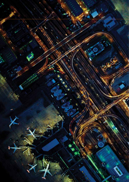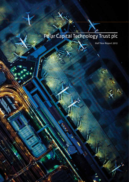# Polar Capital Technology Trust plc

Half Year Report 2012

 $\hat{R}_{\rm e}$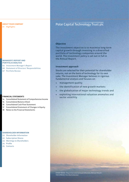ABOUT YOUR COMPANY 01 Highlights

#### Manager's report and pORTFOLIO ANALYSIS

- 02 Investment Manager's Report
- 06 Statement of Directors' Responsibilities
- 07 Portfolio Review

#### FINANCIAL STATEMENTS

- 14 Consolidated Statement of Comprehensive Income
- 15 Consolidated Balance Sheet
- 16 Consolidated Cash Flow Statement
- 17 Consolidated Statement of Changes in Equity
- 18 Notes to the Financial Statements

#### SHAREHOLDER INFORMATION

- 22 Shareholder Information
- 22 Subscription Shares
- 23 Warnings to Shareholders
- 24 Profile
- 25 Contacts

# **Polar Capital Technology Trust plc**

# **Objective**

The investment objective is to maximise long-term capital growth through investing in a diversified portfolio of technology companies around the world. The investment policy is set out in full in the Annual Report.

# Investment approach

Stocks are selected for their potential for shareholder returns, not on the basis of technology for its own sake. The Investment Manager believes in rigorous fundamental analysis and focuses on:

- • management quality
- the identification of new growth markets
- the globalisation of major technology trends and
- exploiting international valuation anomalies and sector volatility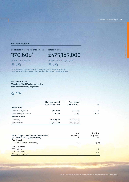# Financial highlights

Undiluted net assets per ordinary share

370.60p\*

30 April 2012: 392.56p

-5.6%

Total net assets

£475,185,000 30 April 2012: £503,292,000

-5.6%

\*As at 31 October 2012 there was no dilutive NAV per share as the subscription share conversion price (478p) was above the NAV and the share price of the ordinary shares

Benchmark index: (Dow Jones World Technology Index, total return Sterling adjusted)

# -5.4%

|                        | Half year ended<br>31 October 2012 | Year ended<br>30 April 2012 | $\frac{0}{0}$ |
|------------------------|------------------------------------|-----------------------------|---------------|
| <b>Share Price</b>     |                                    |                             |               |
| per ordinary share     | 366.00p                            | 387.00p                     | $-5.4\%$      |
| per subscription share | 10.22p                             | 12.75p                      | $-19.8%$      |
| <b>Shares in issue</b> |                                    |                             |               |
| Ordinary               | 128,219,920                        | 128,208,023                 |               |
| Subscription           | 24,786,282                         | 24,798,179                  |               |

| Index chages over the half year ended<br>31 October 2012 (Total return) | Local<br>Currency<br>% | <b>Sterling</b><br>Adjusted<br>$\%$ |
|-------------------------------------------------------------------------|------------------------|-------------------------------------|
| Benchmark:                                                              |                        |                                     |
| Dow Jones World Technology                                              | (6.1)                  | (5.4)                               |
| <b>Other Indices:</b>                                                   |                        |                                     |
| FTSE World                                                              |                        | 2.7                                 |
| <b>FTSE All-Share</b>                                                   |                        | 3.3                                 |
| S&P 500 composite                                                       | 2.2                    | 3.0                                 |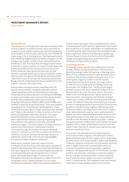# INVESTMENT MANAGER'S REPORT / Ben Rogoff

# Market Review

The half year to 31 October 2012 saw equity markets make further progress as mixed economic data and political uncertainty was ameliorated by decisive intervention by policymakers in both Europe and the US, the FTSE World index rising 2.7% in Sterling terms. Sterling based returns were modestly augmented by US Dollar strength (+0.7%) and gains by the Yen (+0.6%), offset somewhat by Euro weakness (-1.4%). The fiscal first half began with a sharp correction in equity markets as travails in both Spain and Greece reintroduced the real possibility of a Euro exit and/or break-up. Soaring risk aversion saw ten year Spanish sovereign yields rise to 7.4% and the Euro make a new two year low against the US Dollar while perceived 'safe havens' such as ten year US Treasuries and German Bunds entered unchartered territory as yields fell to new lows of 1.4% and 1.2% respectively.

Despite deteriorating economic newsflow over the period, equity markets remained relatively resilient reflecting positive political developments in Europe following the Eurozone decision to lend Spain EUR100bn to shore up its banks and a successful European summit with Germany apparently softening its stance by allowing the European Stability Mechanism (ESM), once ratified, to directly recapitalise banks. That policymakers were alive to the challenge was made apparent in July when ECB President Mario Draghi reiterated that the ECB was "ready to do whatever it takes to preserve the Euro" which by September had taken the form of an openended commitment to buy unlimited quantities of short-dated bonds of those countries requesting aid, on the condition they adhere to centrally controlled austerity budgets. This basic pattern of weak economics and decisive intervention in developed markets continued through the balance of the year allowing stocks to continue to climb the so-called 'wall of worry', aided by a strong second quarter earnings season, an additional round of QE in the US and ongoing M&A activity that helped underpin valuations.

While equity markets remained robust into the conclusion of the first fiscal half, there were a number of negative developments that were more fully felt beyond the reporting period. These included heightened political uncertainty (ahead of upcoming elections in the US, Japan, and leadership change in China) with US Presidential elections bringing the so-called 'fiscal cliff' into greater focus. Likewise pockets of civil unrest following the passing of additional austerity measures in

France, Greece and Spain led to renewed concern about Eurozone growth while Spanish regional elections raised the possibility of a Catalan referendum on independence. The third quarter reporting season also provided stocks with a significant amount of buffeting as weakening Chinese demand, fiscal uncertainty and unfavourable foreign exchange comparisons took their toll on corporate earnings and/or guidance.

#### Technology Review

Technology shares significantly underperformed the broader market during the half year, the Dow Jones World Technology Index falling 5.4% in Sterling terms. Most of this underperformance came during the final months of the period as Apple unwound some of its earlier gains, negative trends in the PC market accelerated and the third quarter earnings season proved the most challenging technology reporting period post the 2008/9 crisis. The fiscal year began inauspiciously as the much-awaited Facebook IPO in May proved to be a 'sell the news' event. The sector ceded some relative ground during the Summer as macroeconomic uncertainty and US Dollar strength combined to create a difficult second quarter earnings season. PC related companies bore the brunt of slower growth in emerging markets (particularly China) as unit growth turned decisively negative. While early (and relatively modest) earnings resets from the PC supply chain were explained away by slower global growth, deeper and more widespread downward revisions that followed pointed at more than just a pause ahead of a new Microsoft Windows 8 operating system. Indeed, the announcement of Microsoft's own tablet ('Surface') together with a massive downward revision from HP made it clear that the PC market was in genuinely new (and worrisome) territory.

In contrast, the smartphone and tablet markets continued to make progress with dominant vendors Apple and Samsung and their supply chains continuing to wrest share from former leaders, Nokia and Research in Motion. Despite a lackluster second quarter earnings report, Apple continued its remarkable ascent as investors focused on upcoming product updates. However, the September launch of the iPhone 5 proved another 'sell the news' moment as relatively modest design changes to the phone left investors wanting more. Unfortunately supply constraints resulted in solid, if unspectacular, first weekend sales and sharply lower gross margin guidance when the company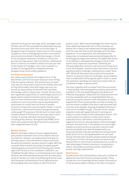reported third quarter earnings, which presaged a late October sell-off that extended into November leaving the stock more than 20% from its all-time highs. A disappointing third quarter report was far from unique to Apple as a more challenging economic environment and uncertainty ahead of leadership change in the US, China and Japan combined to produce a tricky third quarter earnings season. Not only did this combination leave its mark on incumbents whose fortunes are tied to the health of IT budgets, but it also resulted in a number of next-generation companies posting disappointing results and/or guidance.

## Portfolio Performance

Our relative performance fell slightly short of the benchmark, with the net asset value per share falling 5.6% during the half year. The performance of smallcaps was not the primary cause of this modest shortfall as they fell broadly inline with large-caps over the period, as measured by the Russell 1000 and 2000 technology indices respectively. Instead, the portfolio was negatively impacted by its underweight position in Apple (which outperformed during the period), poor returns from communication stocks due to continued weakness in service provider capital spending while semiconductor stocks bore the brunt of weaker economic trends and a contracting PC market. In terms of positives, relative performance was generated by underweight PC exposure, the decision to retain some liquidity ahead of third quarter earnings season and a number of strong individual stock performances including Ariba, Kenexa, Springsoft and OPNET all of which were acquired during the period for premiums that ranged between 19-42%.

# Market Outlook

Markets have been robust this year largely because policymakers have been alive to the need for decisive intervention. However, as evidenced by third quarter earnings season, this intervention remains necessary because the economic recovery remains fragile. With US economic data mixed (ex-housing), European growth remaining elusive and with China showing only limited signs that the worst of its slowdown is behind it, our 'muddling through' thesis is currently being stress tested. However, we have opined previously that we expected a series of 'echoes' as is the norm following financial crises and that given the backdrop of fiscal tightening and de-leveraging these were likely to take the form of

growth scares. While we acknowledge that there may be some additional downside risk to 2013 estimates, we believe this is likely to be modest and strongly disagree with the view that the current earnings cycle may have played out. In our experience, the third quarter has always been an awkward seasonal period (especially for technology earnings) even without the added distraction of the Olympics and leadership change in three of the world's most important economies. Following the Chinese leadership transition and conclusion of elections in the US and Japan, investors have refocused on the next significant policy challenge: tackling the so-called 'fiscal cliff'. While US lawmakers have used confrontational rhetoric in early post-election exchanges, we are hopeful that a credible plan will be agreed upon in order to avoid the automatic spending cuts and tax increases that are scheduled to begin in January 2013.

This view, together with our belief that China will avoid a 'hard landing' (there being plenty of policy ammunition available to the new leadership given the absence of inflation) may appear complacent but these positions are entirely compatible with our long held belief that our interests as equity investors have rarely been as closely aligned with those of policymakers as they are today. As such we remain confident that worst case outcomes will continue to be avoided, allowing the global economy to continue to 'muddle through'. If we are correct, equity valuations look well supported even if earnings are subject to some modest further downward revision. This is particularly true relative to other asset classes, especially versus 'safe havens' and their promise of negative real returns. Having looked a little overbought and with sentiment full, if not ebullient at recent highs, markets are more attractive now that investors have become decidedly more bearish (evidenced by our favoured bull-bear indicator and German two year bond yields which hit zero during November). As such (and having retained some liquidity ahead of what we feared could prove a trickier earnings season) we have moved the portfolio to a more fully invested position in order to take advantage of modest valuations, strong balance sheets, favourable seasonality and de-risked fourth quarter earnings expectations.

## Risk Factors

As well as the risks outlined above, there are a number of additional risks that investors should consider. These include the risk of sovereign default and/or the break-up of the Eurozone (albeit unlikely in the short term given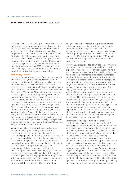# INVESTMENT MANAGER'S REPORT continued

the Draghi plan), a 'hard landing' in China and insufficient political will in the developed world to deliver austerity resulting in a loss of market confidence. As in previous years, geopolitical risk remains the most significant exogenous factor to consider, particularly in the Middle East (given the risk to energy prices) with the region in flux as a result of the so-called Arab Spring and Islamist governments assuming power in Egypt and Turkey. With Israel warning that Iran's capability to enrich uranium must be stopped before mid 2013, there is a heightened risk of military action by Israel and/or the US in order to prevent Iran from attaining nuclear capability.

## Technology Outlook

Having performed strongly during (and into the close of) our last fiscal year, the technology sector has fared relatively poorly over the half year as a challenging third quarter earnings season reminded investors of the sector's cyclical sensitivity, while slower emerging market growth has revealed the extent of the secular headwinds faced by the PC industry. Although we are not expecting a sharp snapback in corporate spending in the fourth quarter, we are hopeful that many of the projects that were delayed due to political/fiscal uncertainty will recommence once corporates have better visibility into how the US intends to tackle its federal budget deficit. At the consumer level, we suspect that a slew of recent product launches (iPhone 5, Google Nexus 7, iPad Mini, Windows Surface, Amazon Kindle Fire HD) may have elongated purchase decisions too. While a few of our core holdings delivered disappointing third quarter results, it was not all doom and gloom evidenced by strong reports from a number of our companies including ARM Holdings, eBay, Facebook, Ixia and Radware.

We continue to believe that technology valuations remain compelling, particularly after the recent correction and even more so once adjusted for the sector's disproportionately strong balance sheet. As such we remain hopeful that the sector should remain a solid 'each way' bet for generalists – attractive for both its operating leverage and (in the event of a difficult market) its unrivalled net cash position. However, the combination of slower economic growth and the deflationary impact of a new technology cycle is likely to continue to dampen overall IT spending. Unfortunately for IT managers, muted budget growth is entirely at odds with computing needs that are increasing inexorably. As such we expect corporate fortunes to continue to bifurcate as IT buyers are forced to reallocate their

budgets in favour of cheaper, disruptive alternatives – a dynamic entirely consistent with previous periods of economic uncertainty. Given our view that the technology sector has entered a more pernicious phase we anticipate significantly more uneven value creation and elevated (not to mention expensive) M&A activity as incumbents attempt to reinvent themselves with even greater urgency.

However, as a result of 'top down' concerns, investors have spent much of the half year seeking refuge in expensive, mega-cap 'stores of wealth', continuing a trend that commenced in April 2011. While this dynamic has aided the performance of several of our largest holdings, it has also contributed significantly to the 'crowding out' of small-caps resulting in them giving up all of their post 2008 outperformance versus large-caps. Having telegraphed our intent in our last annual report to move more materially away from legacy incumbents (and therefore our market cap weighted index) we are excited about the value on offer in small and mid-caps many of which have been left for dead by investors myopically focused on the preservation of capital and/or yield generation. With the new cycle becoming ever more problematic for incumbents we anticipate further increasing our small and mid-cap weightings in order to increase our exposure to favoured themes while taking advantage of the 'crowding out' that has been driven by a 'topdown' trade that looks inappropriate when applied to our sector given our new cycle thesis.

In terms of thematic positioning, we are likely to continue to increase our current underweight PC position now that the market has been 'found out' due to the malevolent combination of cyclical and secular headwinds, exacerbated by a hiatus ahead of the release of Windows 8 based devices. We also expect to further reduce our smartphone exposure given rising penetration rates. For now we continue to favour dominant vendors Apple and Samsung and their supply chains, especially those companies like Qualcomm and ARM that are difficult to displace. However, the deteriorating relationship between Apple and Samsung suggests that growth at the expense of weaker players has largely played out. Fortunately, as a result of the recent changes made to our investment policy we have greater flexibility to adjust our holdings to reflect this dynamic. In contrast, we anticipate retaining (and likely increasing) our overweight Internet exposure as we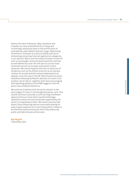believe the likes of Amazon, eBay, Facebook and Linkedin are natural beneficiaries of cheap and increasingly ubiquitous (due to the proliferation of smartphones and tablets) Internet usage. Advertising, eCommerce, Software as a Service (SaaS) and social networking remain key Internet application categories, in our opinion. More controversially we expect to persist with an overweight communications position that has proved deleterious over the half year as carriers have remained reticent to increase investment in their networks. We remain hopeful that the introduction of 4G devices such as the iPhone 5 will act as an overdue catalyst for accelerated 4G network deployments as appears to be the case in the UK. Recent positive sector newsflow following Softbank's decision to invest in US wireless carrier Sprint, together with more encouraging 2013 spending guidance from AT&T suggests that the worst may already be behind us.

We continue to believe that the sector remains in the early stages of a new, if increasingly disruptive, cycle. This should continue to provide us with exciting investment opportunities at a time when overall technology valuations remain attractive and well supported by the sector's strong balance sheet. We remain most excited about Cloud computing and are continually looking for ways to gain exposure to its next phase which is likely to be characterised by enterprises more fully embracing public and hybrid cloud architectures.

# Ben Rogoff

7 December 2012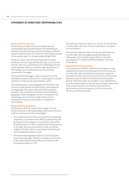# Statement of Directors' responsibilities

#### Risks and Uncertainties

The Directors consider that the principal risks and uncertainties faced by the Group for the remaining six months of the financial year, which could have a material impact on performance, are consistent with those outlined in the annual report for the year ended 30 April 2012.

These principal risks can be summarised as market volatility, stock pricing and liquidity risk, currency and interest rate risk, counterparty risk, differing economic cycles between different markets and risk inherent in technology, such as obsolescence and consumer acceptance of changes.

The investment manager's report comments on the outlook for market related risks, including the increased volatility in share prices and economic cycles.

The Company has a risk management framework that is a structured process for identifying, assessing and managing the risks associated with the Company's business. The investment portfolio is diversified by geography which mitigates risk but is focused on the technology sector and has a high proportion of investments listed on US markets or exposed to the US Dollar.

#### Responsibility Statement

The Directors of Polar Capital Technology Trust plc, which are listed in the Shareholder Information Section, confirm to the best of their knowledge:

- The condensed set of financial statements have been prepared in accordance with IAS34 as adopted by the European Union and give a true and fair view of the financial position of the Company and the Group as at 31 October 2012 and the results for the six months ended 31 October 2012 as required by the Disclosure and Transparency Rules 4.2.4R;
- • The Interim Management Report (constituting the Investment Manager's Report) includes a fair review of the information required by the Disclosure and Transparency Rules 4.2.7R.

The half year financial report for the six month period to 31 October 2012 has not been audited or reviewed by the Auditors.

The half year financial report for the six month period to 31 October 2012 was approved by the Board on 7 December 2012 and the responsibility statement was signed on its behalf by Michael Moule, Chairman of the Board.

#### Related Party Transactions

In accordance with DTR 4.2.8R there have been no new related party transactions during the six month period to 31 October 2012 and therefore nothing to report on any material effect by such transactions on the financial position or performance of the Company during that period. There have been no changes in any related party transaction described in the last annual report that could have a material effect on the financial position or performance of the Company in the first six months of the current financial year.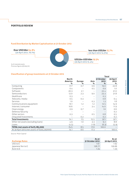# Portfolio Review

# Fund Distribution by Market Capitalisation at 31 October 2012



# Classification of group investments at 31 October 2012

|                                              |                                 |                          |              | Total                      |                          |
|----------------------------------------------|---------------------------------|--------------------------|--------------|----------------------------|--------------------------|
|                                              | <b>North</b><br>America<br>$\%$ | <b>Europe</b><br>$\%$    | Asia<br>$\%$ | 31 October<br>2012<br>$\%$ | 30 April<br>2012<br>$\%$ |
| Computing                                    | 17.7                            | 0.7                      | 0.6          | 19.0                       | 22.8                     |
| Components                                   | 0.4                             |                          | 0.5          | 0.9                        | 1.0                      |
| Software                                     | 20.3                            | 2.1                      |              | 22.4                       | 21.0                     |
| Semiconductors                               | 12.0                            | 2.3                      | 9.0          | 23.3                       | 21.8                     |
| Healthcare                                   | 0.3                             | $\overline{\phantom{m}}$ |              | 0.3                        |                          |
| Telecoms / media                             | 0.5                             | 0.3                      |              | 0.8                        | 0.4                      |
| Services                                     | 1.0                             |                          | 0.3          | 1.3                        | 1.8                      |
| Communications equipment                     | 10.1                            | 1.2                      | 1.2          | 12.5                       | 14.9                     |
| Internet/consumer                            | 10.6                            |                          | 3.4          | 14.0                       | 11.9                     |
| Clean energy                                 | 0.9                             | 0.7                      |              | 1.6                        | 0.6                      |
| Defence/Security                             |                                 |                          |              |                            | 0.2                      |
| Other sectors                                | 0.3                             |                          | 0.5          | 0.8                        | 0.5                      |
| Unquoted Investments                         |                                 | 0.2                      |              | 0.2                        | 0.2                      |
| <b>Total Investments</b>                     | 74.1                            | 7.5                      | 15.5         | 97.1                       | 97.1                     |
| Other net assets (excluding loans)           | 4.9                             | 1.0                      | 3.3          | 9.2                        | 8.8                      |
| Loans                                        | (4.5)                           | $\overline{\phantom{0}}$ | (1.8)        | (6.3)                      | (5.9)                    |
| TOTAL (net assets of £475,185,000)           | 74.5                            | 8.5                      | 17.0         | 100.0                      |                          |
| At 30 April 2012 (net assets of £503,292000) | 74.1                            | 8.6                      | 17.3         |                            | 100.0                    |

Source: Polar Capital

|                       | As at           | As at         |
|-----------------------|-----------------|---------------|
| <b>Exchange Rates</b> | 31 October 2012 | 30 April 2012 |
| USS to £              | 1.61            | 1.62          |
| Japanese Yen to £     | 128.77          | 129.66        |
| Euro to £             | 1.24            |               |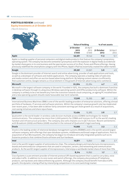PORTFOLIO REVIEW continued

Equity Investments at 31 October 2012

/ North America



| <b><i>Company of the Company</i></b> | Value of holding | % of net assets |            |          |
|--------------------------------------|------------------|-----------------|------------|----------|
|                                      | 31 October       | 30 April        |            |          |
|                                      | 2012             | 2012            | 31 October | 30 April |
|                                      | £'000            | E'000           | 2012       | 2012     |
| Apple                                | 53,561           | 61,142          | 11.3       | 12.1     |

Apple is a leading supplier of personal computers and digital media products that feature the company's proprietary operating system. The company has become somewhat synonymous with the explosion in digital media as evidenced by market share gains in its core business and the spectacular success of its iPod, iTunes and iPhone offerings. Having previously redefined the smartphone category with the iPhone, Apple's iPad has essentially created the tablet market.

| Google                                                                                                             | 26.591 | 22.921 | 5.6 | 4.6 |
|--------------------------------------------------------------------------------------------------------------------|--------|--------|-----|-----|
| Google is the dominant provider of Internet search and online advertising, provider of web applications and tools, |        |        |     |     |
| as well as a developer of software and mobile applications. The company operates a leading index of web sites      |        |        |     |     |
| and media content and offers an auction based advertising platform. By helping content owners to efficiently       |        |        |     |     |

| find customers online, Google remains a critical element in the growth of Internet advertising and e-commerce. |  |
|----------------------------------------------------------------------------------------------------------------|--|
|                                                                                                                |  |
|                                                                                                                |  |

| Microsoft | $\mathbf{a}$<br>.304 | $\sim$<br>264 | ,,<br>т.<br>. . |  |
|-----------|----------------------|---------------|-----------------|--|
|           |                      |               |                 |  |

Microsoft is the largest software company in the world. Founded in 1975, the company has built a dominant franchise in desktop software through its ubiquitous Windows operating system and Office productivity software. Whilst the company is unlikely to be a net beneficiary from the transition towards cloud computing, an ageing PC installed base and a new operating system should create favourable near term tailwinds.

| <b>IBM</b>                                                                                                                                                                                                                                                                                                                                                                                                                | 17.506 | 15.293 | 3.7 | 3.0 |
|---------------------------------------------------------------------------------------------------------------------------------------------------------------------------------------------------------------------------------------------------------------------------------------------------------------------------------------------------------------------------------------------------------------------------|--------|--------|-----|-----|
| International Business Machines (IBM) is one of the world's leading providers of enterprise solutions, offering a broad<br>portfolio of hardware, IT services and software solutions. Whilst the company's revenue growth rate has moderated<br>over recent years, it has been able to deliver fairly consistent earnings per share growth as a result of acquisitions,<br>cost-saving initiatives and share repurchases. |        |        |     |     |
| Qualcomm                                                                                                                                                                                                                                                                                                                                                                                                                  | 12,494 | 13.365 | 2.6 |     |
|                                                                                                                                                                                                                                                                                                                                                                                                                           |        |        |     |     |

Qualcomm is the world leader in wireless code division multiple access (CDMA) technologies for mobile communications. The company has more than 3,000 patents for CDMA and licenses its IP to the world's leading handset and infrastructure providers. The company also sells chipsets via its QCT division. Recent settlements with Broadcom (2009) and Nokia (2008) resulted in the removal of Qualcomm's legal overhang.

| Oracle                                                                                                                                                                                                                                                                                                                                                                                                                      | 10,999 | 11.415 | 2.3 | 2.3 |  |  |  |
|-----------------------------------------------------------------------------------------------------------------------------------------------------------------------------------------------------------------------------------------------------------------------------------------------------------------------------------------------------------------------------------------------------------------------------|--------|--------|-----|-----|--|--|--|
| Oracle is the leading vendor of relational database management systems (RDBMS) and is the world's second largest<br>software company, with offerings that span database systems, middleware and broad range of applications. Post its<br>acquisition of Sun Microsystems, the company has begun to introduce vertically integrated systems such as its<br>Exaseries products that combine Oracle software and Sun hardware. |        |        |     |     |  |  |  |
| Intel                                                                                                                                                                                                                                                                                                                                                                                                                       | 10,871 | 13.841 | 2.3 | 2.7 |  |  |  |
| Intel is the world's largest supplier of semiconductor chips. The company designs and manufactures microprocessors,<br>boards and semiconductor components that are used in computers, servers, and networking and communication<br>products. As the world's largest supplier of microprocessors, Intel enjoys a worldwide market share of more than 75%.                                                                   |        |        |     |     |  |  |  |

|       | ____ |  |             |               |    |                    |
|-------|------|--|-------------|---------------|----|--------------------|
| Cisco |      |  | $-1$<br>-14 | $\rightarrow$ | ٠. | $\sim$<br><u>.</u> |

Cisco Systems is a pre eminent provider of Internet protocol (IP)-based equipment that is used to carry data, voice and video traffic. In addition to its core router and switch offerings, the company also produces IP telephony products, set-top boxes and videoconferencing systems. Although the company should benefit from data traffic growth, this dynamic is being offset by intensifying competition in its core (switching) market.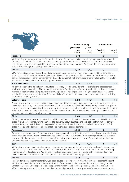

|          | Value of holding | % of net assets |                 |          |
|----------|------------------|-----------------|-----------------|----------|
|          | 31 October       | 30 April        |                 |          |
|          | 2012             |                 | 2012 31 October | 30 April |
|          | £'000            | E'000           | 2012            | 2012     |
| Facebook | 6,302            |                 | 1.3             |          |

With over 1bn active monthly users, Facebook is the world's dominant social networking company. A poorly handled IPO and a lacklustre initial quarter as a public company saw Facebook stock halve from its debut price. However, actual results have been respectable given issues at (once important) customer Zynga and the difficulty associated with traffic shifting from desktop to mobile devices.

| <b>VMware</b>                                                                                                | 6.179 |  |  | $0.5^{\circ}$ |  |
|--------------------------------------------------------------------------------------------------------------|-------|--|--|---------------|--|
| VM ware is today synonymous with cloud computing as the dominant provider of software used by enterprises to |       |  |  |               |  |

virtualise computing and/or create private clouds. Having largely penetrated its core market, VMware has continued to broaden its product portfolio via internal R&D and a number of high profile acquisitions including the recent \$1bn acquisition of next-generation networking vendor Nicira.

| Texas Instruments                                                                                                     | $-5.534$ | 5.898 | $\sim$ 1.2 $\sim$ | 1.2 |
|-----------------------------------------------------------------------------------------------------------------------|----------|-------|-------------------|-----|
| An early pioneer in the field of semiconductors, TI is today a leading provider of both digital signal processors and |          |       |                   |     |

analogue / mixed signal chips. The company has adopted a 'fab-light' manufacturing model which allows it to better manage utilisation rates during downturns allowing it to continue to generate strong free cash flows. Last year's acquisition of long-term rival National Semi should allow TI to extend its analog market share while better utilising its industry leading 300m fabs.

| Salesforce.com                                                                                                           | 5,319 | 6.521 | 1.1 | -1.3 |
|--------------------------------------------------------------------------------------------------------------------------|-------|-------|-----|------|
| A leading provider of customer relationship management (CRM) software, Salesforce.com is a standard bearer for a         |       |       |     |      |
| new software delivery model commonly known as 'software as a service' (SAAS). By eliminating many of the upfront         |       |       |     |      |
| and ancillary costs associated with the prevailing licence model, the ability to deliver software 'on demand' is helping |       |       |     |      |
| Salesforce.com not only expand the applicability of its core product but is also helping the company become a much       |       |       |     |      |
| hroader annlication infrastructure provider                                                                              |       |       |     |      |

| Citrix                                                                                                                                                                                                                                                                                                                                                                                                                                               | 5,014 | 5,148 | 1.1 | 1.0 |  |  |
|------------------------------------------------------------------------------------------------------------------------------------------------------------------------------------------------------------------------------------------------------------------------------------------------------------------------------------------------------------------------------------------------------------------------------------------------------|-------|-------|-----|-----|--|--|
| Citrix Systems offer a suite of products that help its customers compute over the wide area network (WAN). Its core<br>product is well established, having been used to deliver Windows desktops and applications from remote servers.<br>Newer offerings allow full desktop images (VDI) to be delivered over the Internet, SaaS collaboration via its GoTo<br>product range, and a delivery controller that helps improve application performance. |       |       |     |     |  |  |
| Amazon.com                                                                                                                                                                                                                                                                                                                                                                                                                                           | 4,852 | 4,120 | 1.0 | 0.8 |  |  |
| Amazon.com is a dominant eCommerce provider having expanded significantly since its early days as an online book,<br>music and video vendor. Today the company has added a significant number of product categories and sells its own<br>hardware (Kindle-branded e-readers and tablets). In addition, Amazon owns the world's pre-eminent public cloud<br>(Amazon Web Services) and Lovefilm, an online video service.                              |       |       |     |     |  |  |
| eBay                                                                                                                                                                                                                                                                                                                                                                                                                                                 | 4,644 | 4.549 | 1.0 | 0.9 |  |  |
| While eBay continues to dominate online auctions, it has also expanded significantly into the broader eCommerce<br>market such that fixed-price sales comprise the majority of its transactions. In addition to its eCommerce offering<br>('marketplace'), eBay also owns PayPal, one of the leading online payment platforms. Both the core and payment<br>business should continue to benefit from growth in eCommerce and mobile payments.        |       |       |     |     |  |  |
| <b>Red Hat</b>                                                                                                                                                                                                                                                                                                                                                                                                                                       | 4,563 | 5,027 | 1.0 | 1.0 |  |  |
| Red Hat dominates the market for Linux, an open-source operating system (OS), that competes against Microsoft                                                                                                                                                                                                                                                                                                                                        |       |       |     |     |  |  |

Windows and a number of Unix variants. With eight of the top ten public Cloud vendors already running Red Hat Enterprise Licence, Linux appears to be the operating system of choice for large scale Cloud deployments. Recent efforts to integrate virtualisation and middleware should provide the company with additional sources of growth.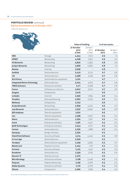PORTFOLIO REVIEW continued

Equity Investments at 31 October 2012

/ North America



|                                     |                         | Value of holding            |                           | % of net assets    |                          |  |
|-------------------------------------|-------------------------|-----------------------------|---------------------------|--------------------|--------------------------|--|
|                                     |                         | 31 October<br>2012<br>£'000 | 30 April<br>2012<br>£'000 | 31 October<br>2012 | 30 April<br>2012         |  |
| <b>EMC</b>                          | Storage                 | 4,344                       | 7,512                     | 0.9                | 1.5                      |  |
| <b>OPNET</b>                        | Networking              | 4,058                       | 2,651                     | 0.9                | 0.5                      |  |
| <b>F5 Networks</b>                  | Networking              | 3,846                       | 4,560                     | 0.8                | 0.9                      |  |
| Juniper Networks                    | Networking              | 3,666                       | 4,850                     | 0.8                | 1.0                      |  |
| Akamai                              | Internet                | 3,636                       |                           | 0.8                |                          |  |
| <b>SanDisk</b>                      | Semiconductors          | 3,423                       | 3,214                     | 0.7                | 0.6                      |  |
| LSI                                 | Semiconductors          | 3,368                       | 3,136                     | 0.7                | 0.6                      |  |
| <b>KLA-Tencor</b>                   | Semiconductor equipment | 3,291                       |                           | 0.7                |                          |  |
| <b>Integrated Device Technology</b> | Semiconductors          | 3,224                       | 3,913                     | 0.7                | 0.8                      |  |
| <b>TIBCO Software</b>               | Enterprise software     | 3,111                       | 3,038                     | 0.7                | 0.6                      |  |
| Concur                              | Software-as-a-Service   | 3,047                       | 3,014                     | 0.7                | 0.6                      |  |
| Seagate                             | Components              | 3,015                       |                           | 0.6                | $\overline{\phantom{m}}$ |  |
| Linkedin                            | Internet                | 2,930                       | 1,834                     | 0.6                | 0.4                      |  |
| Teradata                            | Data warehousing        | 2,900                       | 2,235                     | 0.6                | 0.4                      |  |
| <b>Mellanox</b>                     | Components              | 2,752                       |                           | 0.6                | $\overline{\phantom{a}}$ |  |
| Aruba Networks                      | Networking              | 2,669                       | 3,324                     | 0.6                | 0.7                      |  |
| Lam Research                        | Semiconductors          | 2,637                       | 3,940                     | 0.6                | 0.8                      |  |
| <b>JDS Uniphase</b>                 | Telecom equipment       | 2,631                       |                           | 0.6                |                          |  |
| Ixia                                | Telecom equipment       | 2,598                       | 2,037                     | 0.5                | 0.4                      |  |
| Altera                              | Semiconductors          | 2,592                       | 1,971                     | 0.5                | 0.4                      |  |
| Intuit                              | Enterprise software     | 2,581                       | 2,427                     | 0.5                | 0.5                      |  |
| <b>QLIK Technologies</b>            | Enterprise software     | 2,543                       | 2,617                     | 0.5                | 0.5                      |  |
| Cavium                              | Semiconductors          | 2,530                       | 1,986                     | 0.5                | 0.4                      |  |
| Synopsys                            | Design software         | 2,530                       |                           | 0.5                |                          |  |
| <b>Check Point Software</b>         | Security software       | 2,514                       | 4,242                     | 0.5                | 0.8                      |  |
| <b>Cirrus Logic</b>                 | Semiconductors          | 2,509                       |                           | 0.5                |                          |  |
| <b>Teradyne</b>                     | Semiconductor equipment | 2,459                       | 3,284                     | 0.5                | 0.7                      |  |
| Mastercard                          | Payment services        | 2,454                       | 1,115                     | 0.5                | 0.2                      |  |
| Fortinet                            | Security software       | 2,415                       | 1,447                     | 0.5                | 0.3                      |  |
| <b>Broadcom</b>                     | Semiconductors          | 2,339                       | 3,155                     | 0.5                | 0.6                      |  |
| Neustar 'A'                         | Telecom services        | 2,270                       |                           | 0.5                |                          |  |
| MicroStrategy                       | Enterprise software     | 2,198                       | 2,448                     | 0.5                | 0.5                      |  |
| Polycom                             | Videoconferencing       | 2,156                       | 2,676                     | 0.5                | 0.5                      |  |
| <b>Adobe Systems</b>                | Enterprise software     | 2,110                       | 3,279                     | 0.4                | 0.6                      |  |
| Silicom                             | Components              | 2,095                       | 1,659                     | 0.4                | 0.3                      |  |

Polar Capital Technology Trust plc/ Half Year Report for the six months ended 31 October 2012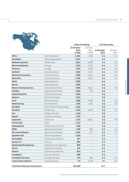

|                                         |                              | Value of holding |          | % of net assets |          |
|-----------------------------------------|------------------------------|------------------|----------|-----------------|----------|
|                                         |                              | 31 October       | 30 April |                 |          |
|                                         |                              | 2012             | 2012     | 31 October      | 30 April |
|                                         |                              | £'000            | £'000    | 2012            | 2012     |
| <b>Xilinx</b>                           | Semiconductors               | 2,032            | 1,769    | 0.4             | 0.4      |
| <b>BroadSoft</b>                        | Telecom equipment            | 2,017            |          | 0.4             |          |
| <b>NetScout Systems</b>                 | Networking                   | 1,964            | 2,688    | 0.4             | 0.5      |
| <b>Network Appliance</b>                | Storage                      | 1,923            | 5,124    | 0.4             | 1.0      |
| Fusion-io                               | Storage                      | 1,851            | 2,691    | 0.4             | 0.5      |
| Semtech                                 | Semiconductors               | 1,847            | 2,470    | 0.4             | 0.5      |
| <b>National Instruments</b>             | Instrumentation              | 1,828            | 2,345    | 0.4             | 0.5      |
| Sourcefire                              | Security software            | 1,706            | 1,887    | 0.4             | 0.4      |
| Nvida                                   | Semiconductors               | 1,680            |          | 0.4             |          |
| Micron                                  | Semiconductors               | 1,666            |          | 0.4             |          |
| <b>Nuance Communications</b>            | Enterprise software          | 1,658            | 2,841    | 0.3             | 0.6      |
| Infoblox                                | Application software         | 1,639            | 125      | 0.3             |          |
| <b>Keynote Systems</b>                  | Enterprise software          | 1,629            |          | 0.3             |          |
| Imperva                                 | Security software            | 1,627            |          | 0.3             |          |
| Itron                                   | Smart metering               | 1,589            | 1,658    | 0.3             | 0.3      |
| <b>WaterFurnace</b>                     | Environmental                | 1,581            | 1,282    | 0.3             | 0.3      |
| <b>EnerNOC</b>                          | Environmental / Clean energy | 1,529            |          | 0.3             |          |
| Riverbed                                | Networking                   | 1,483            | 2,570    | 0.3             | 0.5      |
| Exa                                     | Design software              | 1,439            |          | 0.3             |          |
| Splunk                                  | Enterprise software          | 1,261            |          | 0.3             |          |
| Cognizant                               | <b>IT Services</b>           | 1,241            | 2,844    | 0.3             | 0.6      |
| <b>Pronto Labs</b>                      | Other                        | 1,227            |          | 0.3             |          |
| Athenahealth                            | Software-as-a-Service        | 1,196            |          | 0.3             |          |
| <b>PROS</b>                             | Application software         | 1,168            | 708      | 0.2             | 0.1      |
| <b>Pervasive Software</b>               | Application software         | 1,037            | 571      | 0.2             | 0.1      |
| Symmetricom                             | Telecom equipment            | 1,033            |          | 0.2             |          |
| <b>ServiceNow</b>                       | Software-as-a-Service        | 971              |          | 0.2             |          |
| Gartner 'A'                             | Services                     | 864              |          | 0.2             |          |
| Kulicke & Soffe Industries              | Semiconductor equipment      | 856              |          | 0.2             |          |
| Cerner                                  | Healthcare software          | 851              |          | 0.2             |          |
| E2open                                  | Software-as-a-Service        | 843              |          | 0.2             |          |
| Proofpoint                              | Security software            | 820              |          | 0.2             |          |
| <b>CommVault Services</b>               | Storage software             | 775              | 769      | 0.2             | 0.2      |
| <b>Lattice Semiconductor</b>            | Semiconductors               | 711              | 2,316    | 0.1             | 0.5      |
| <b>Total North American investments</b> |                              | 351,930          |          | 74.1            |          |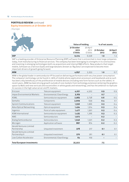# PORTFOLIO REVIEW continued

Equity Investments at 31 October 2012

/ Europe



|            |            | Value of holding |            |          |
|------------|------------|------------------|------------|----------|
|            | 31 October | 30 April         |            |          |
| ш.         | 2012       | 2012             | 31 October | 30 April |
|            | £'000s     | E'000s           | 2012       | 2012     |
| <b>SAP</b> | 9,224      | 6,558            | 1.9        | 1.3      |
|            |            |                  |            |          |

SAP is a leading provider of Enterprise Resource Planning (ERP) software that is entrenched in most large companies today, from manufacturing to financial services. The company has been leveraging its strengths in its core business and investing in emerging technologies both via acquisitions and internal R&D efforts. New products that target mobile, Software-as-a-Service (SaaS) and large datasets (known as 'Big Data') are expected to become more important drivers of growth going forward.

| <b>ARM</b> | $0 -$<br>-- | $\sim$ $ -$<br>ر ر ر | $1.0^\circ$ |  |
|------------|-------------|----------------------|-------------|--|
|            |             |                      |             |  |

ARM is the global leader in semiconductor IP focused on delivering performance with very low power consumption. The company's technology can be found in >90% of mobile phone application processors and basebands and as such has been a key beneficiary of the proliferation of mobile devices (including new form factors such as the tablet). In recent years, ARM has been driving growth outside of core markets from technology extension (entering the graphics space via Mali) and new verticals (microcontrollers in white goods and networking), and has the ambition to replicate its success in the high value server and PC markets.

| Ericsson                                  | Telecom equipment            | 4,021  | 4,502 | 0.9 | 0.9 |
|-------------------------------------------|------------------------------|--------|-------|-----|-----|
| Impax Environmental Markets               | Environmental / Clean Energy | 3,169  |       | 0.7 |     |
| <b>ASML</b>                               | Semiconductor equipment      | 2,983  | 2,738 | 0.6 | 0.5 |
| Gemalto                                   | Components                   | 2,009  | 639   | 0.4 | 0.1 |
| <b>Spirent Communications</b>             | Telecom equipment            | 1,556  | 1,966 | 0.3 | 0.4 |
| Adva Optical Networking                   | Optical equipment            | 1,494  | 1,914 | 0.3 | 0.4 |
| Ingenico                                  | Point of sales equipment     | 1,477  | 1,901 | 0.3 | 0.4 |
| ASM International                         | Semiconductor equipment      | 1,435  | 1,266 | 0.3 | 0.3 |
| AMS                                       | Semiconductors               | 1,072  |       | 0.2 |     |
| Dialog Semiconductor                      | Semiconductors               | 1,046  | 1,501 | 0.2 | 0.3 |
| Microgen                                  | Application software         | 887    | 874   | 0.2 | 0.2 |
| Herald Ventures Limited<br>Partnership    | Unquoted investment          | 378    | 317   | 0.1 | 0.1 |
| Herald Ventures Limited<br>Partnership II | Unquoted investment          | 270    | 261   | 0.1 | 0.1 |
| Low Carbon Accelerator                    | Environmental / Clean Energy | 64     | 109   |     |     |
| <b>Total European investments</b>         |                              | 35,922 |       | 7.5 |     |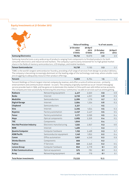# Equity Investments at 31 October 2012

/ Asia



|                            |            | Value of holding |            |          |
|----------------------------|------------|------------------|------------|----------|
|                            | 31 October | 30 April         |            |          |
|                            | 2012       | 2012             | 31 October | 30 April |
|                            | £'000s     | £'000s           | 2012       | 2012     |
| <b>Samsung Electronics</b> | 18,732     | 19,679           | 3.9        | 3.9      |

Samsung manufactures a very wide array of products ranging from components to finished products for both consumer electronics and industrial end markets. The company is particularly renowned for its high global market share in the fields of memory semiconductors, LCD displays, and mobile handsets.

| Taiwan Semiconductor | 10 | 11 10: |          |
|----------------------|----|--------|----------|
|                      |    | --     | <u>.</u> |

TSMC is the world's largest semiconductor foundry, providing a full range of services from design to product delivery. The company is becoming increasingly dominant at the leading-edge of the technology road-map, where smaller rivals are struggling to adequately resource their product offerings.

Tencent 6,960 6,764 1.5 1.3 Tencent Holdings is China's largest internet company by revenue, and offers a suite of online services – primarily entertainment and communication related – to users. The company originally started out as an 'instant messaging' service provider back in 1999, and has gone on to dominate this market in China with over 400 million active accounts. The company are now successfully monetising this enormous 'community' via add-on services such as online gaming.

|                                | rne company are now baccebbrany monetibing this chormous community wa add on bervices such as omme gammig. |        |                   |      |     |
|--------------------------------|------------------------------------------------------------------------------------------------------------|--------|-------------------|------|-----|
| Radware                        | Networking equipment                                                                                       | 4,417  | 3,920             | 0.9  | 0.8 |
| <b>Baidu</b>                   | Internet                                                                                                   | 3,726  | 4,601             | 0.8  | 0.9 |
| MediaTek                       | Semiconductors                                                                                             | 3,280  | 1,179             | 0.7  | 0.2 |
| <b>Digital Garage</b>          | Internet                                                                                                   | 2,994  | 1,334             | 0.6  | 0.3 |
| Chipbond                       | Semiconductors                                                                                             | 2,321  |                   | 0.5  |     |
| <b>Sina</b>                    | Internet                                                                                                   | 2,295  | 1,624             | 0.5  | 0.3 |
| Keyence                        | Factory automation                                                                                         | 2,237  | 2,427             | 0.5  | 0.5 |
| Fanuc                          | Factory automation                                                                                         | 2,171  | 2,096             | 0.5  | 0.4 |
| Hoya                           | Optical components                                                                                         | 2,083  | 2,356             | 0.4  | 0.5 |
| <b>TXC</b>                     | Components                                                                                                 | 1,600  |                   | 0.4  |     |
| Hon Hai Precision Industry     | Electronic manufacturing                                                                                   | 1,592  | 2,957             | 0.3  | 0.6 |
| <b>NHN</b>                     | Internet                                                                                                   | 1,480  |                   | 0.3  |     |
| Quanta Computer                | Computer hardware                                                                                          | 1,193  | 3,498             | 0.3  | 0.7 |
| <b>ASM Pacific</b>             | Semiconductor equipment                                                                                    | 1,146  | 1,832             | 0.2  | 0.4 |
| Canon                          | Office automation                                                                                          | 1,001  | 4,549             | 0.2  | 0.9 |
| <b>Shinko Electric</b>         | Components                                                                                                 | 999    | $\qquad \qquad -$ | 0.2  |     |
| Fujitsu                        | <b>IT Services</b>                                                                                         | 930    | 2,346             | 0.2  | 0.5 |
| Lenovo Group                   | Computer hardware                                                                                          | 650    | 2,778             | 0.1  | 0.6 |
| <b>O-Net Communications</b>    | Optical equipment                                                                                          | 575    | 782               | 0.1  | 0.2 |
| Array                          | Networking equipment                                                                                       | 415    | 719               | 0.1  | 0.1 |
| <b>Total Asian investments</b> |                                                                                                            | 73,533 |                   | 15.5 |     |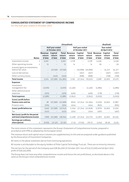# Consolidated statement of comprehensive income for the half year ended 31 October 2012

|                                                                      |                | (Unaudited)                |                                    |                 |                                         |                                    | (Audited)       |                                         |                            |                          |
|----------------------------------------------------------------------|----------------|----------------------------|------------------------------------|-----------------|-----------------------------------------|------------------------------------|-----------------|-----------------------------------------|----------------------------|--------------------------|
|                                                                      |                |                            | Half year ended<br>31 October 2012 |                 |                                         | Half year ended<br>31 October 2011 |                 | Year ended<br>30 April 2012             |                            |                          |
|                                                                      | <b>Notes</b>   | Revenue<br>return<br>£'000 | Capital<br>return<br>£'000         | return<br>£'000 | <b>Total Revenue</b><br>return<br>£'000 | Capital<br>return<br>£'000         | return<br>£'000 | <b>Total Revenue</b><br>return<br>£'000 | Capital<br>return<br>£'000 | Total<br>return<br>£'000 |
| Investment income                                                    | $\overline{2}$ | 3,001                      | $\qquad \qquad -$                  | 3,001           | 2,178                                   | $\qquad \qquad -$                  | 2,178           | 3,539                                   | $\overline{\phantom{0}}$   | 3,539                    |
| Other operating income                                               | $\overline{2}$ | 13                         |                                    | 13              | 14                                      |                                    | 14              | 29                                      |                            | 29                       |
| (Losses) / gains on investments<br>held at fair value                |                | $\qquad \qquad -$          | (27, 156)                          | (27, 156)       | $\qquad \qquad -$                       | (20, 689)                          | (20, 689)       | $\overline{\phantom{0}}$                | 34,317                     | 34,317                   |
| Loss on derivatives                                                  |                |                            |                                    |                 | $\qquad \qquad -$                       | (357)                              | (357)           | $\overline{\phantom{0}}$                | (307)                      | (307)                    |
| Other currency losses                                                |                | $\overline{\phantom{a}}$   | (240)                              | (240)           | $\overline{\phantom{a}}$                | (698)                              | (698)           | $\overline{\phantom{0}}$                | (108)                      | (108)                    |
| <b>Total income</b>                                                  |                | 3,014                      | (27, 396)                          | (24, 382)       | 2,192                                   | (21, 744)                          | (19, 552)       | 3,568                                   | 33,902                     | 37,470                   |
| <b>Expenses</b>                                                      |                |                            |                                    |                 |                                         |                                    |                 |                                         |                            |                          |
| Investment<br>management fee                                         |                | (2,616)                    |                                    | (2,616)         | (2,436)                                 |                                    | (2,436)         | (4,885)                                 |                            | (4,885)                  |
| Other administrative                                                 |                |                            |                                    |                 |                                         |                                    |                 |                                         |                            |                          |
| expenses                                                             |                | (370)                      | $\qquad \qquad -$                  | (370)           | (406)                                   | $\qquad \qquad -$                  | (406)           | (718)                                   | $\overline{\phantom{0}}$   | (718)                    |
| <b>Total expenses</b>                                                |                | (2,986)                    | $\qquad \qquad -$                  | (2,986)         | (2,842)                                 | $\qquad \qquad -$                  | (2,842)         | (5,603)                                 | $\overline{\phantom{m}}$   | (5,603)                  |
| (Loss) / profit before<br>finance costs and tax                      |                |                            |                                    |                 |                                         |                                    |                 |                                         |                            |                          |
|                                                                      |                | 28                         | (27, 396)                          | (27, 368)       | (650)                                   | (21,744)                           | (22, 394)       | (2,035)                                 | 33,902                     | 31,867                   |
| Finance costs                                                        |                | (374)                      |                                    | (374)           | (454)                                   | $\overline{\phantom{0}}$           | (454)           | (835)                                   | $\overline{\phantom{m}}$   | (835)                    |
| (Loss) / profit before tax                                           |                | (346)                      | (27, 396)                          | (27,742)        | (1, 104)                                | (21, 744)                          | (22, 848)       | (2,870)                                 | 33,902                     | 31,032                   |
| Tax                                                                  |                | (422)                      |                                    | (422)           | (324)                                   |                                    | (324)           | (497)                                   |                            | (497)                    |
| Net (Loss) / profit for the period<br>and total comprehensive income |                | (768)                      | (27, 396)                          | (28, 164)       | (1,428)                                 | (21, 744)                          | (23, 172)       | (3, 367)                                | 33,902                     | 30,535                   |
| Earnings per ordinary<br>share (pence)                               | 3              | (0.60)                     | (21.37)                            | (21.97)         | (1.12)                                  | (17.05)                            | (18.17)         | (2.64)                                  | 26.56                      | 23.92                    |

The total column of this statement represents the Group's Statement of Comprehensive Income, prepared in accordance with IFRS as adopted by the European Union.

The revenue return and capital return columns are supplementary to this and are prepared under guidance published by the Association of Investment Companies.

All items in the above statement derive from continuing operations.

All income is attributable to the equity holders of Polar Capital Technology Trust plc. There are no minority interests.

The net loss for the period of the Company was £28,164,000 (31 October 2011: loss of £23,172,000 and 30 April 2012: profit of £30,535,000).

The Group does not have any other comprehensive income and hence the net profit/(loss), as disclosed above is the same as the Group's total comprehensive income.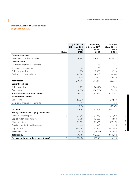# Consolidated Balance Sheet

at 31 October 2012

| <b>Notes</b>                                    | (Unaudited)<br>31 October 2012<br>Group<br>£'000 | (Unaudited)<br>31 October 2011<br>Group<br>£'000 | (Audited)<br>30 April 2012<br>Group<br>£'000 |
|-------------------------------------------------|--------------------------------------------------|--------------------------------------------------|----------------------------------------------|
| Non current assets                              |                                                  |                                                  |                                              |
| Investments held at fair value                  | 461,385                                          | 426,771                                          | 488,587                                      |
| <b>Current assets</b>                           |                                                  |                                                  |                                              |
| Derivative financial instruments                |                                                  | 116                                              |                                              |
| Overseas tax recoverable                        | 40                                               | 19                                               | 14                                           |
| Other receivables                               | 1,930                                            | 9,370                                            | 1,334                                        |
| Cash and cash equivalents                       | 44,649                                           | 46,106                                           | 49,211                                       |
|                                                 | 46,619                                           | 55,611                                           | 50,559                                       |
| <b>Total assets</b>                             | 508,004                                          | 482,382                                          | 539,146                                      |
| <b>Current liabilities</b>                      |                                                  |                                                  |                                              |
| Other payables                                  | (2,635)                                          | (4,400)                                          | (5,909)                                      |
| Bank loans                                      | (10, 050)                                        | (30, 313)                                        | (9, 974)                                     |
| Total assets less current liabilities           | 495,319                                          | 447,669                                          | 523,263                                      |
| Non current liabilities                         |                                                  |                                                  |                                              |
| Bank loans                                      | (20, 101)                                        |                                                  | (19, 949)                                    |
| Derivative financial instruments                | (33)                                             |                                                  | (22)                                         |
|                                                 | (20, 134)                                        |                                                  | (19, 971)                                    |
| Net assets                                      | 475,185                                          | 447,669                                          | 503,292                                      |
| Equity attributable to equity shareholders      |                                                  |                                                  |                                              |
| Called-up share capital<br>4                    | 32,303                                           | 32,185                                           | 32,300                                       |
| Capital redemption reserve                      | 12,588                                           | 12,588                                           | 12,588                                       |
| Share premium                                   | 123,325                                          | 121,470                                          | 123,271                                      |
| Special non-distributable reserve               | 7,536                                            | 7,536                                            | 7,536                                        |
| Capital reserves                                | 368,254                                          | 340,004                                          | 395,650                                      |
| Revenue reserve                                 | (68, 821)                                        | (66, 114)                                        | (68, 053)                                    |
| <b>Total equity</b>                             | 475,185                                          | 447,669                                          | 503,292                                      |
| Net asset value per ordinary share (pence)<br>5 | 370.60                                           | 350.48                                           | 392.56                                       |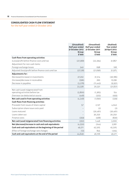# Consolidated Cash flow statement

for the half year ended 31 October 2012

|                                                                      | (Unaudited)<br>Half year ended<br>31 October 2012<br>Group<br>£'000 | (Unaudited)<br>Half year ended<br>31 October 2011<br>Group<br>£'000 | (Audited)<br>Year ended<br>30 April 2012<br>Group<br>£'000 |
|----------------------------------------------------------------------|---------------------------------------------------------------------|---------------------------------------------------------------------|------------------------------------------------------------|
| Cash flows from operating activities                                 |                                                                     |                                                                     |                                                            |
| (Loss)/profit before finance costs and tax                           | (27, 368)                                                           | (22, 394)                                                           | 31,867                                                     |
| Adjustment for non-cash items:                                       |                                                                     |                                                                     |                                                            |
| Foreign exchange losses                                              | 240                                                                 | 698                                                                 | 108                                                        |
| Adjusted (loss)/profit before finance costs and tax                  | (27, 128)                                                           | (21, 696)                                                           | 31,975                                                     |
| Adjustments for:                                                     |                                                                     |                                                                     |                                                            |
| Decrease/(increase) in investments                                   | 27,202                                                              | 31,514                                                              | (30, 186)                                                  |
| (Increase)/decrease in receivables                                   | (596)                                                               | 260                                                                 | 8,296                                                      |
| Decrease in payables                                                 | (3,278)                                                             | (11, 443)                                                           | (9,931)                                                    |
|                                                                      | 23,328                                                              | 20,331                                                              | (31, 821)                                                  |
| Net cash (used in)/generated from<br>operating activities before tax | (3,800)                                                             | (1, 365)                                                            | 154                                                        |
| Overseas tax deducted at source                                      | (448)                                                               | (325)                                                               | (493)                                                      |
| Net cash used in from operating activities                           | (4, 248)                                                            | (1,690)                                                             | (339)                                                      |
| Cash flows from financing activities                                 |                                                                     |                                                                     |                                                            |
| Proceeds from issues of share capital                                | 57                                                                  | 2,127                                                               | 4,043                                                      |
| Subscription share issue costs paid                                  |                                                                     | (2)                                                                 | (2)                                                        |
| Loans matured                                                        |                                                                     | (30, 461)                                                           | (30, 461)                                                  |
| Loans taken out                                                      |                                                                     | 30,250                                                              | 30,250                                                     |
| Finance costs                                                        | (359)                                                               | (468)                                                               | (830)                                                      |
| Net cash (used in)/generated from financing activities               | (302)                                                               | 1,446                                                               | 3,000                                                      |
| Net (decrease)/increase in cash and cash equivalents                 | (4,550)                                                             | (244)                                                               | 2,661                                                      |
| Cash and cash equivalents at the beginning of the period             | 49,211                                                              | 45,505                                                              | 45,505                                                     |
| Effect of foreign exchange rate changes                              | (12)                                                                | 845                                                                 | 1,045                                                      |
| Cash and cash equivalents at the end of the period                   | 44,649                                                              | 46,106                                                              | 49,211                                                     |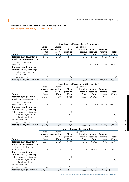# Consolidated Statement of Changes in Equity

for the half year ended 31 October 2012

|                                 | (Unaudited) Half year ended 31 October 2012 |            |         |               |           |           |           |  |
|---------------------------------|---------------------------------------------|------------|---------|---------------|-----------|-----------|-----------|--|
|                                 | Called-                                     | Capital    |         | Special non-  |           |           |           |  |
|                                 | up share                                    | redemption | Share   | distributable | Capital   | Revenue   |           |  |
|                                 | capital                                     | reserve    | premium | reserve       | reserves  | reserve   | Total     |  |
| Group                           | £'000                                       | £'000      | £'000   | £'000         | £'000     | £'000     | £'000     |  |
| Total equity at 30 April 2012   | 32,300                                      | 12,588     | 123,271 | 7.536         | 395,650   | (68,053)  | 503,292   |  |
| Total comprehensive income:     |                                             |            |         |               |           |           |           |  |
| Loss for the period to          |                                             |            |         |               |           |           |           |  |
| 31 October 2012                 |                                             |            |         |               | (27, 396) | (768)     | (28, 164) |  |
| Transactions with owners,       |                                             |            |         |               |           |           |           |  |
| recorded directly to equity:    |                                             |            |         |               |           |           |           |  |
| Issue of ordinary shares        |                                             |            |         |               |           |           |           |  |
| on conversion of                |                                             |            |         |               |           |           |           |  |
| subscription shares             | 3                                           |            | 54      |               |           |           | 57        |  |
| Total equity at 31 October 2012 | 32,303                                      | 12,588     | 123,325 | 7.536         | 368,254   | (68, 821) | 475,185   |  |

|                                 | (Unaudited) Half year ended 31 October 2011 |            |              |               |           |                 |           |  |  |
|---------------------------------|---------------------------------------------|------------|--------------|---------------|-----------|-----------------|-----------|--|--|
|                                 | Called-                                     | Capital    |              | Special non-  |           |                 |           |  |  |
|                                 | up share                                    | redemption | <b>Share</b> | distributable | Capital   | Revenue         |           |  |  |
|                                 | capital                                     | reserve    | premium      | reserve       | reserves  | reserve         | Total     |  |  |
| Group                           | £'000                                       | £'000      | £'000        | £'000         | £'000     | £'000           | £'000     |  |  |
| Total equity at 30 April 2011   | 32,031                                      | 12,588     | 119,499      | 7,536         | 361,748   | (64, 686)       | 468,716   |  |  |
| Total comprehensive income:     |                                             |            |              |               |           |                 |           |  |  |
| Loss for the period to          |                                             |            |              |               |           |                 |           |  |  |
| 31 October 2011                 |                                             |            |              |               | (21, 744) | (1,428)         | (23, 172) |  |  |
| Transactions with owners,       |                                             |            |              |               |           |                 |           |  |  |
| recorded directly to equity:    |                                             |            |              |               |           |                 |           |  |  |
| Subscription share issue costs  |                                             |            | (2)          |               |           |                 | (2)       |  |  |
| Issue of ordinary share capital | 150                                         |            | 1,901        |               |           | $\qquad \qquad$ | 2,051     |  |  |
| Issue of ordinary shares        |                                             |            |              |               |           |                 |           |  |  |
| on conversion of                |                                             |            |              |               |           |                 |           |  |  |
| subscription shares             | 4                                           |            | 72           |               |           |                 | 76        |  |  |
| Total equity at 31 October 2011 | 32,185                                      | 12,588     | 121,470      | 7,536         | 340,004   | (66, 114)       | 447,669   |  |  |

|                                 | (Audited) Year ended 30 April 2012 |            |              |               |          |           |         |  |  |
|---------------------------------|------------------------------------|------------|--------------|---------------|----------|-----------|---------|--|--|
|                                 | Called-                            | Capital    |              | Special non-  |          |           |         |  |  |
|                                 | up share                           | redemption | <b>Share</b> | distributable | Capital  | Revenue   |         |  |  |
|                                 | capital                            | reserve    | premium      | reserve       | reserves | reserve   | Total   |  |  |
| Group                           | £'000                              | £'000      | £'000        | £'000         | £'000    | £'000     | £'000   |  |  |
| Total equity at 30 April 2011   | 32,031                             | 12,588     | 119,499      | 7.536         | 361,748  | (64, 686) | 468,716 |  |  |
| Total comprehensive income:     |                                    |            |              |               |          |           |         |  |  |
| Profit/(loss) for the year to   |                                    |            |              |               |          |           |         |  |  |
| 30 April 2012                   |                                    |            |              |               | 33,902   | (3,367)   | 30,535  |  |  |
| Transactions with owners,       |                                    |            |              |               |          |           |         |  |  |
| recorded directly to equity:    |                                    |            |              |               |          |           |         |  |  |
| Subscription share issue costs  |                                    |            | (2)          |               |          |           | (2)     |  |  |
| Issue of ordinary share capital | 150                                |            | 1,901        |               |          |           | 2,051   |  |  |
| Issue of ordinary shares        |                                    |            |              |               |          |           |         |  |  |
| on conversion of                |                                    |            |              |               |          |           |         |  |  |
| subscription shares             | 119                                |            | 1,873        |               |          |           | 1,992   |  |  |
| Total equity at 30 April 2012   | 32,300                             | 12,588     | 123,271      | 7,536         | 395,650  | (68, 053) | 503,292 |  |  |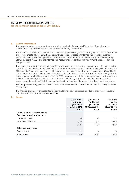# Notes to the financial statements

for the six month period ended 31 October 2012

# 1. General Information

The consolidated accounts comprise the unaudited results for Polar Capital Technology Trust plc and its subsidiary PCT Finance Limited for the six month period to 31 October 2012.

The unaudited accounts to 31 October 2012 have been prepared using the accounting policies used in the Group's annual accounts to 30 April 2012. These accounting policies are based on International Financial Reporting Standards ("IFRS"), which comprise standards and interpretations approved by the International Accounting Standards Board ("IASB") and the International Accounting Standards Committee ("IASC"), as adopted by the European Union.

The financial information in this Half Year Report does not constitute statutory accounts as defined in section 434 of the Companies Act 2006. The financial information for the six month periods ended 31 October 2012 and 31 October 2011 have not been audited. The figures and financial information for the year ended 30 April 2012 are an extract from the latest published accounts and do not constitute statutory accounts for that year. Full statutory accounts for the year ended 30 April 2012, prepared under IFRS, including the report of the auditors which was unqualified, did not draw attention to any matters by way of emphasis and did not contain a statement under section 498 of the Companies Act 2006, have been delivered to the Registrar of Companies.

The Group's accounting policies have not varied from those described in the Annual Report for the year ended 30 April 2012.

The financial statements are presented in Pounds Sterling and all values are rounded to the nearest thousand pounds (£'000), except where otherwise stated.

#### 2. Income

|                                                                      | (Unaudited)<br>For the half<br>year ended<br>31 October 2012<br>£'000 | (Unaudited)<br>For the half<br>year ended<br>31 October 2011<br>£'000 | (Audited)<br>For the<br>year ended<br>30 April 2012<br>£'000 |
|----------------------------------------------------------------------|-----------------------------------------------------------------------|-----------------------------------------------------------------------|--------------------------------------------------------------|
| Income from investments held at<br>fair value through profit or loss |                                                                       |                                                                       |                                                              |
| Franked dividends                                                    | 55                                                                    | 65                                                                    | 133                                                          |
| Unfranked dividends                                                  | 2,946                                                                 | 2,113                                                                 | 3,406                                                        |
|                                                                      | 3,001                                                                 | 2,178                                                                 | 3,539                                                        |
| Other operating income                                               |                                                                       |                                                                       |                                                              |
| <b>Bank</b> interest                                                 | 13                                                                    | 14                                                                    | 29                                                           |
| <b>Total income</b>                                                  | 3.014                                                                 | 2,192                                                                 | 3,568                                                        |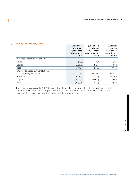# 3. Earnings per ordinary share

| Latinings per brunnary share                                    | (Unaudited)<br>For the half<br>year ended<br>31 October 2012<br>£'000 | (Unaudited)<br>For the half<br>year ended<br>31 October 2011<br>£'000 | (Audited)<br>For the<br>year ended<br>30 April 2012<br>£'000 |
|-----------------------------------------------------------------|-----------------------------------------------------------------------|-----------------------------------------------------------------------|--------------------------------------------------------------|
| Net (loss) / profit for the period:                             |                                                                       |                                                                       |                                                              |
| Revenue                                                         | (768)                                                                 | (1,428)                                                               | (3,367)                                                      |
| Capital                                                         | (27, 396)                                                             | (21, 744)                                                             | 33,902                                                       |
| Total                                                           | (28, 164)                                                             | (23, 172)                                                             | 30,535                                                       |
| Weighted average number of shares<br>in issue during the period | 128,210,050                                                           | 127,498,353                                                           | 127,651,825                                                  |
| Revenue                                                         | (0.60)p                                                               | (1.12)p                                                               | (2.64)p                                                      |
| Capital                                                         | (21.37)p                                                              | (17.05)p                                                              | 26.56p                                                       |
| Total                                                           | (21.97)p                                                              | (18.17)p                                                              | 23.92p                                                       |

The Company has in issue 24,786,282 subscription shares which are convertible into ordinary shares. Further details of the conversion price are given in note 4. There was no dilution of the return per ordinary share in respect of the conversion rights attaching to the subscription shares.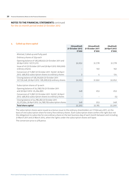# Notes to the financial statements continued

for the six month period ended 31 October 2012

# 4. Called-up share capital

| Caliculup Stiate Capital                                                                                         |                                         |                                         |                                     |
|------------------------------------------------------------------------------------------------------------------|-----------------------------------------|-----------------------------------------|-------------------------------------|
|                                                                                                                  | (Unaudited)<br>31 October 2012<br>£'000 | (Unaudited)<br>31 October 2011<br>£'000 | (Audited)<br>30 April 2012<br>£'000 |
| Allotted, Called up and Fully paid:                                                                              |                                         |                                         |                                     |
| Ordinary shares of 25p each                                                                                      |                                         |                                         |                                     |
| Opening balance of 128,208,023 (31 October 2011 and<br>30 April 2012: 127,111,211)                               | 32,052                                  | 31,778                                  | 31,778                              |
| Issue of nil (31 October 2011 and 30 April 2012: 600,000)<br>ordinary shares                                     |                                         | 150                                     | 150                                 |
| Conversion of 11,897 (31 October 2011: 19,037; 30 April<br>2012: 496,812) subscription shares to ordinary shares | 3                                       | 4                                       | 124                                 |
| Closing balance of 128,219,920 (31 October 2011:<br>127,730,248; 30 April 2012: 128,208,023) ordinary shares     | 32,055                                  | 31,932                                  | 32,052                              |
| Subscription shares of 1p each:                                                                                  |                                         |                                         |                                     |
| Opening balance of 24,798,179 (31 October 2011<br>and 30 April 2012: 25,294,991)                                 | 248                                     | 253                                     | 253                                 |
| Conversion of 11,897 (31 October 2011: 19,037; 30 April<br>2012: 496,812) subscription shares to ordinary shares |                                         |                                         | (5)                                 |
| Closing balance of 24,786,282 (31 October 2011:<br>25,275,954; 30 April 2012: 24,798,179) subscription shares    | 248                                     | 253                                     | 248                                 |
| Total share capital                                                                                              | 32,303                                  | 32,185                                  | 32,300                              |

The subscription shares were issued as a bonus issue to the ordinary shareholders on 11 February 2011, on the basis of one subscription share for every five ordinary shares. Each subscription share confers the right (but not the obligation) to subscribe for one ordinary share on the last business day of each month between and including 31 March 2011 and 31 March 2014, when the rights under the subscription shares will lapse.

The conversion price is 478 pence.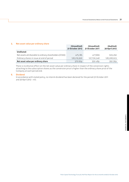# 5. Net asset value per ordinary share

|                                                          | (Unaudited)<br>31 October 2012 | (Unaudited)<br>31 October 2011 | (Audited)<br>30 April 2012 |
|----------------------------------------------------------|--------------------------------|--------------------------------|----------------------------|
| Undiluted:                                               |                                |                                |                            |
| Net assets attributable to ordinary shareholders (£'000) | 475,185                        | 477,669                        | 503,292                    |
| Ordinary shares in issue at end of period                | 128,219,920                    | 127,730,248                    | 128,208,023                |
| Net asset value per ordinary share                       | 370.60p                        | 350.48p                        | 392.56p                    |

There is no dilutive effect on the net asset value per ordinary share in respect of the conversion rights attaching to the subscription shares as the conversion price is higher than the ordinary share price of the Company at each period end.

# 6. Dividend

In accordance with stated policy, no interim dividend has been declared for the period (31 October 2011 and 30 April 2012 – nil).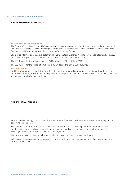# Shareholder information

#### Share Price and Net Asset Value

The Company's Net Asset Value (NAV) is released daily, on the next working day, following the calculation date, to the London Stock Exchange. The mid-market price of the ordinary shares is published daily in the Financial Times in the Companies and Markets section under the heading 'Investment Companies'.

Share price information is also available from The London Stock Exchange Website www.londonstockexchange.co.uk (PCT), Bloomberg (PCT.LN), Datastream (PCT), Lipper (71000395) and Reuters (PCT.L).

The SEDOL code for the ordinary shares is 0422002 and the ISIN is GB004220025.

The SEDOL code for the subscription shares is B615W32 and the ISIN is GB00B615W327.

#### Portfolio Details

Portfolio information is provided to the AIC for its monthly statistical information service (www.theAIC.co.uk) and monthly fact sheets, as well as previous copies of annual report and accounts, are available on the Company's website www.polarcapitaltechnologytrust.co.uk

# subscription shares

Polar Capital Technology Trust plc issued, as a bonus issue, free of cost, subscription shares on 11 February 2011 to its qualifying shareholders.

Subscription shares offer the right to subscribe for ordinary shares of the Company at pre-determined dates at pre-determined prices and can be bought and sold independently of the ordinary shares on the London Stock Exchange. The subscription price is 478p per Ordinary share.

After the last business day of March 2014, the right to convert subscription shares will lapse.

Subscription shares are qualifying investments for the stocks and shares component of an ISA, and are eligible for inclusion in a UK SIPP.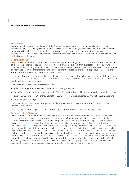# WARNINGS TO SHARFHOLDERS

#### Share Prices

Investors should be aware that the value of the Company's shares may reflect the greater relative volatility of technology shares. Technology shares are subject to the risks of developing technologies, competitive pressures and other factors including the acceptance by business and consumers of new technologies. Many companies in the technology sector are smaller companies and are therefore also subject to the risks attendant on investing in smaller capitalisation businesses.

#### Boiler Room Scams

We have become aware that shareholders of the Polar Capital Technology Trust PLC have received unsolicited phone calls or correspondence concerning investment matters. These are typically from overseas based 'brokers' who target UK shareholders, offering to sell them what often turn out to be worthless or high risk shares in US or UK investments or offering to act on the shareholder's behalf on the payment of a retainer or similar in a spurious corporate event . These operations are commonly known as 'boiler rooms'.

It is not just the novice investor that has been duped in this way; many of the victims had been successfully investing for several years. Shareholders are advised to be very wary of any unsolicited advice, offers to buy shares at a discount or offers of free company reports.

If you receive any unsolicited investment advice:

- Make sure you get the correct name of the person and organisation
- • Check that they are properly authorised by the FSA before getting involved by visiting www.fsa.gov.uk/fsaregister
- • Report the matter to the FSA either by calling 0845 606 1234 or www.fsa.gov.uk/consumerinformation/scamsandswindles
- • If the calls persist, hang up

If you deal with an unauthorised firm, you will not be eligible to receive payment under the Financial Services Compensation Scheme.

Details of any share dealing facilities that the company endorses will be included in company mailings.

#### Forward Looking Statements

Certain statements included in this Half Year Report contain forward-looking information concerning the Company's strategy, operations, financial performance or condition, outlook, growth opportunities or circumstances in the countries, sectors or markets in which the Company operates. By their nature, forward-looking statements involve uncertainty because they depend on future circumstances, and relate to events, not all of which are within the Company's control or can be predicted by the Company. Although the Company believes that the expectations reflected in such forward-looking statements are reasonable, no assurance can be given that such expectations will prove to have been correct. Actual results could differ materially from those set out in the forward looking statements. For a detailed analysis of the factors that may affect our business, financial performance or results of operations, we urge you to look at the principal risks and uncertainties included in the Business Review in the latest Annual Report and Accounts. No part of these results constitutes, or shall be taken to constitute, an invitation or inducement to invest in Polar Capital Technology Trust plc or any other entity, and must not be relied upon in any way in connection with any investment decision. The Company undertakes no obligation to update any forward-looking statements.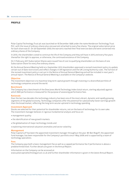# PROFILE

Polar Capital Technology Trust plc was launched on 16 December 1996 under the name Henderson Technology Trust PLC, with the issue of ordinary shares plus one warrant attached to every five shares. The original subscription price for each share was £1. On 30 September 2005 the warrants reached their final exercise date and were converted into ordinary shares of the Company.

In 2010, the shareholders voted to continue the life of the Company and they will have in 2015 and every five years thereafter the right to approve, or otherwise, the continued existence of the Company.

On 11 February 2011 Subscription Shares were issued free of cost to qualifying shareholders on the basis of one Subscription Share for every five ordinary shares.

At the Annual General Meeting held on 4 September 2012 shareholders approved a revised investment policy to update certain out of date restrictions and reflect changes in UK legislation and the UK Listing Authority rules. The full text of the revised investment policy is set out in the Notice of Annual General Meeting and will be included in next year's annual report. The Notice of Annual General Meeting is available on the Company's website.

#### **Objective**

The investment objective is to maximise long term capital growth through investing in a diversified portfolio of technology companies around the world.

#### Benchmark

The Company has a benchmark of the Dow Jones World Technology Index (total return, sterling adjusted) against which NAV performance is measured for the purpose of assessing performance fees.

#### Rationale

Over the last two decades the technology industry has been one of the most vibrant, dynamic and rapidly growing segments of the global economy. Technology companies offer the potential for substantially faster earnings growth than the broad market, reflecting the long term secular uptrend in technology spending.

#### Investment Approach

Stocks are selected for their potential for shareholder returns, not on the basis of technology for its own sake. The investment manager believes in rigorous fundamental analysis and focus on:

- management quality
- the identification of new growth markets
- the globalisation of major technology trends and
- exploiting international valuation anomalies and sector volatility

#### Management

Polar Capital LLP has been the appointed investment manager throughout the year. Mr Ben Rogoff, the appointed fund manager, has been responsible for the Company's portfolio since 1 May 2006 and is supported by a team of technology specialists.

#### Fees

The Company pays both a basic management fee as well as a capped performance fee if performance is above a predetermined level. Further details are given in the Annual Report.

Information on the Company can be accessed at: www.polarcapitaltechnologytrust.co.uk and further shareholder information is given in the latest Annual Report.